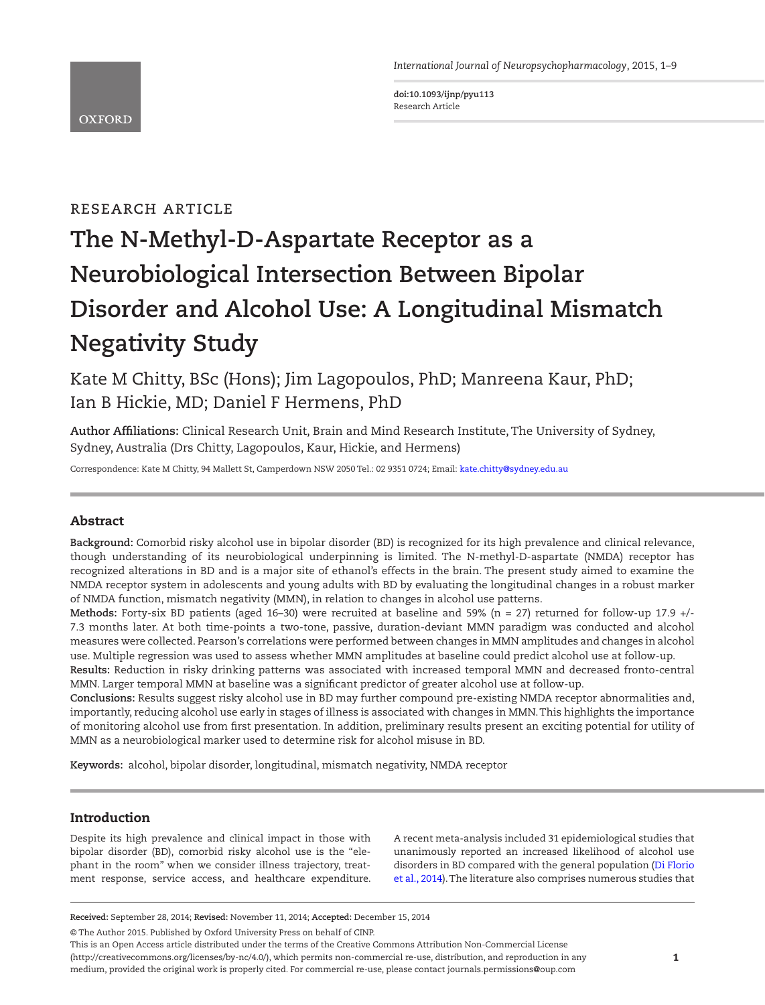**doi:10.1093/ijnp/pyu113** Research Article

# research article

# **The N-Methyl-D-Aspartate Receptor as a Neurobiological Intersection Between Bipolar Disorder and Alcohol Use: A Longitudinal Mismatch Negativity Study**

Kate M Chitty, BSc (Hons); Jim Lagopoulos, PhD; Manreena Kaur, PhD; Ian B Hickie, MD; Daniel F Hermens, PhD

**Author Affiliations:** Clinical Research Unit, Brain and Mind Research Institute, The University of Sydney, Sydney, Australia (Drs Chitty, Lagopoulos, Kaur, Hickie, and Hermens)

Correspondence: Kate M Chitty, 94 Mallett St, Camperdown NSW 2050 Tel.: 02 9351 0724; Email: [kate.chitty@sydney.edu.au](mailto:kate.chitty@sydney.edu.au?subject=)

# Abstract

**Background:** Comorbid risky alcohol use in bipolar disorder (BD) is recognized for its high prevalence and clinical relevance, though understanding of its neurobiological underpinning is limited. The N-methyl-D-aspartate (NMDA) receptor has recognized alterations in BD and is a major site of ethanol's effects in the brain. The present study aimed to examine the NMDA receptor system in adolescents and young adults with BD by evaluating the longitudinal changes in a robust marker of NMDA function, mismatch negativity (MMN), in relation to changes in alcohol use patterns.

**Methods:** Forty-six BD patients (aged 16-30) were recruited at baseline and 59% (n = 27) returned for follow-up 17.9 +/-7.3 months later. At both time-points a two-tone, passive, duration-deviant MMN paradigm was conducted and alcohol measures were collected. Pearson's correlations were performed between changes in MMN amplitudes and changes in alcohol use. Multiple regression was used to assess whether MMN amplitudes at baseline could predict alcohol use at follow-up.

**Results:** Reduction in risky drinking patterns was associated with increased temporal MMN and decreased fronto-central MMN. Larger temporal MMN at baseline was a significant predictor of greater alcohol use at follow-up.

**Conclusions:** Results suggest risky alcohol use in BD may further compound pre-existing NMDA receptor abnormalities and, importantly, reducing alcohol use early in stages of illness is associated with changes in MMN. This highlights the importance of monitoring alcohol use from first presentation. In addition, preliminary results present an exciting potential for utility of MMN as a neurobiological marker used to determine risk for alcohol misuse in BD.

**Keywords:** alcohol, bipolar disorder, longitudinal, mismatch negativity, NMDA receptor

# Introduction

Despite its high prevalence and clinical impact in those with bipolar disorder (BD), comorbid risky alcohol use is the "elephant in the room" when we consider illness trajectory, treatment response, service access, and healthcare expenditure. A recent meta-analysis included 31 epidemiological studies that unanimously reported an increased likelihood of alcohol use disorders in BD compared with the general population ([Di Florio](#page-7-0)  [et al., 2014](#page-7-0)). The literature also comprises numerous studies that

This is an Open Access article distributed under the terms of the Creative Commons Attribution Non-Commercial License (http://creativecommons.org/licenses/by-nc/4.0/), which permits non-commercial re-use, distribution, and reproduction in any medium, provided the original work is properly cited. For commercial re-use, please contact journals.permissions@oup.com

**Received:** September 28, 2014; **Revised:** November 11, 2014; **Accepted:** December 15, 2014

<sup>©</sup> The Author 2015. Published by Oxford University Press on behalf of CINP.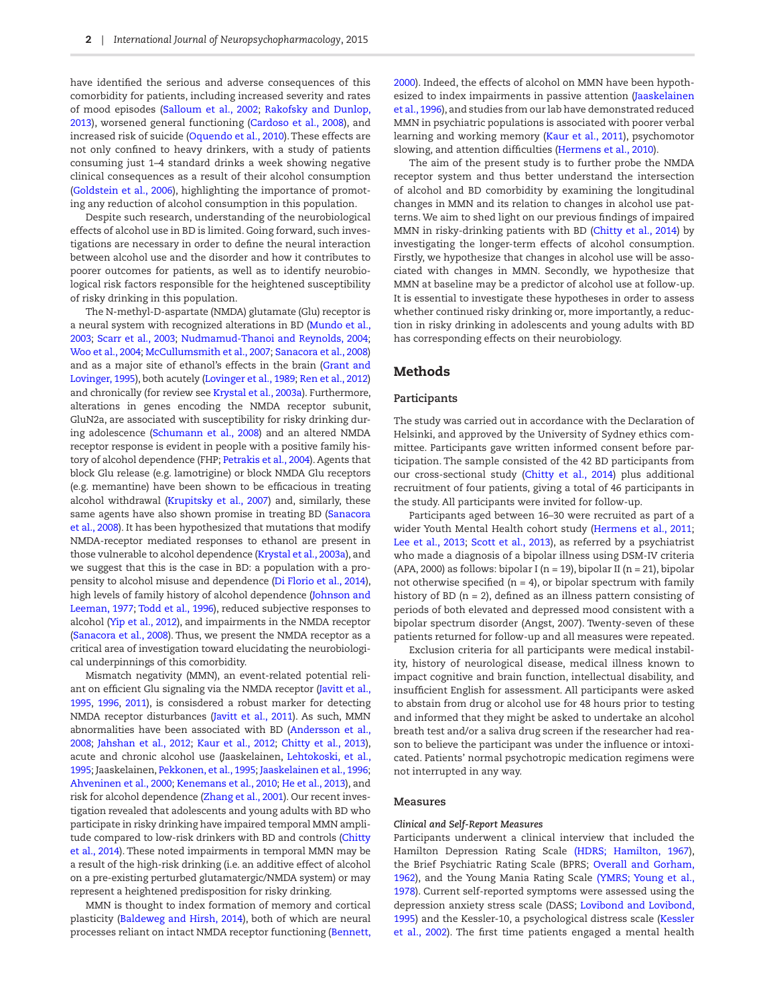have identified the serious and adverse consequences of this comorbidity for patients, including increased severity and rates of mood episodes ([Salloum et al., 2002](#page-8-0); [Rakofsky and Dunlop,](#page-8-1)  [2013](#page-8-1)), worsened general functioning [\(Cardoso et al., 2008\)](#page-6-0), and increased risk of suicide [\(Oquendo et al., 2010](#page-8-2)). These effects are not only confined to heavy drinkers, with a study of patients consuming just 1–4 standard drinks a week showing negative clinical consequences as a result of their alcohol consumption ([Goldstein et al., 2006](#page-7-1)), highlighting the importance of promoting any reduction of alcohol consumption in this population.

Despite such research, understanding of the neurobiological effects of alcohol use in BD is limited. Going forward, such investigations are necessary in order to define the neural interaction between alcohol use and the disorder and how it contributes to poorer outcomes for patients, as well as to identify neurobiological risk factors responsible for the heightened susceptibility of risky drinking in this population.

The N-methyl-D-aspartate (NMDA) glutamate (Glu) receptor is a neural system with recognized alterations in BD [\(Mundo et al.,](#page-7-2)  [2003](#page-7-2); [Scarr et al., 2003](#page-8-3); [Nudmamud-Thanoi and Reynolds, 2004;](#page-8-4) [Woo et al., 2004;](#page-8-5) [McCullumsmith et al., 2007;](#page-7-3) [Sanacora et al., 2008](#page-8-6)) and as a major site of ethanol's effects in the brain [\(Grant and](#page-7-4)  [Lovinger, 1995](#page-7-4)), both acutely ([Lovinger et al., 1989;](#page-7-5) [Ren et al., 2012](#page-8-7)) and chronically (for review see [Krystal et al., 2003a](#page-7-6)). Furthermore, alterations in genes encoding the NMDA receptor subunit, GluN2a, are associated with susceptibility for risky drinking during adolescence ([Schumann et al., 2008\)](#page-8-8) and an altered NMDA receptor response is evident in people with a positive family history of alcohol dependence (FHP; [Petrakis et al., 2004](#page-8-9)). Agents that block Glu release (e.g. lamotrigine) or block NMDA Glu receptors (e.g. memantine) have been shown to be efficacious in treating alcohol withdrawal ([Krupitsky et al., 2007\)](#page-7-7) and, similarly, these same agents have also shown promise in treating BD [\(Sanacora](#page-8-6)  [et al., 2008](#page-8-6)). It has been hypothesized that mutations that modify NMDA-receptor mediated responses to ethanol are present in those vulnerable to alcohol dependence ([Krystal et al., 2003a](#page-7-6)), and we suggest that this is the case in BD: a population with a propensity to alcohol misuse and dependence ([Di Florio et al., 2014\)](#page-7-0), high levels of family history of alcohol dependence (Johnson and [Leeman, 1977;](#page-7-8) [Todd et al., 1996](#page-8-10)), reduced subjective responses to alcohol [\(Yip et al., 2012\)](#page-8-11), and impairments in the NMDA receptor ([Sanacora et al., 2008\)](#page-8-6). Thus, we present the NMDA receptor as a critical area of investigation toward elucidating the neurobiological underpinnings of this comorbidity.

Mismatch negativity (MMN), an event-related potential reliant on efficient Glu signaling via the NMDA receptor (Javitt et al., [1995](#page-7-9), [1996,](#page-7-10) [2011](#page-7-11)), is consisdered a robust marker for detecting NMDA receptor disturbances [\(Javitt et al., 2011\)](#page-7-11). As such, MMN abnormalities have been associated with BD ([Andersson et al.,](#page-6-1)  [2008](#page-6-1); [Jahshan et al., 2012](#page-7-12); [Kaur et al., 2012](#page-7-13); [Chitty et al., 2013\)](#page-7-14), acute and chronic alcohol use (Jaaskelainen, [Lehtokoski, et al.,](#page-7-15)  [1995](#page-7-15); Jaaskelainen, [Pekkonen, et al., 1995;](#page-7-15) [Jaaskelainen et al., 1996;](#page-7-16) [Ahveninen et al., 2000;](#page-6-2) [Kenemans et al., 2010;](#page-7-17) [He et al., 2013\)](#page-7-18), and risk for alcohol dependence [\(Zhang et al., 2001\)](#page-8-12). Our recent investigation revealed that adolescents and young adults with BD who participate in risky drinking have impaired temporal MMN amplitude compared to low-risk drinkers with BD and controls [\(Chitty](#page-7-19)  [et al., 2014\)](#page-7-19). These noted impairments in temporal MMN may be a result of the high-risk drinking (i.e. an additive effect of alcohol on a pre-existing perturbed glutamatergic/NMDA system) or may represent a heightened predisposition for risky drinking.

MMN is thought to index formation of memory and cortical plasticity ([Baldeweg and Hirsh, 2014\)](#page-6-3), both of which are neural processes reliant on intact NMDA receptor functioning ([Bennett,](#page-6-4) 

[2000](#page-6-4)). Indeed, the effects of alcohol on MMN have been hypothesized to index impairments in passive attention [\(Jaaskelainen](#page-7-16)  [et al., 1996\)](#page-7-16), and studies from our lab have demonstrated reduced MMN in psychiatric populations is associated with poorer verbal learning and working memory [\(Kaur et al., 2011](#page-7-20)), psychomotor slowing, and attention difficulties ([Hermens et al., 2010\)](#page-7-21).

The aim of the present study is to further probe the NMDA receptor system and thus better understand the intersection of alcohol and BD comorbidity by examining the longitudinal changes in MMN and its relation to changes in alcohol use patterns. We aim to shed light on our previous findings of impaired MMN in risky-drinking patients with BD [\(Chitty et al., 2014](#page-7-19)) by investigating the longer-term effects of alcohol consumption. Firstly, we hypothesize that changes in alcohol use will be associated with changes in MMN. Secondly, we hypothesize that MMN at baseline may be a predictor of alcohol use at follow-up. It is essential to investigate these hypotheses in order to assess whether continued risky drinking or, more importantly, a reduction in risky drinking in adolescents and young adults with BD has corresponding effects on their neurobiology.

## Methods

# **Participants**

The study was carried out in accordance with the Declaration of Helsinki, and approved by the University of Sydney ethics committee. Participants gave written informed consent before participation. The sample consisted of the 42 BD participants from our cross-sectional study ([Chitty et al., 2014](#page-7-19)) plus additional recruitment of four patients, giving a total of 46 participants in the study. All participants were invited for follow-up.

Participants aged between 16–30 were recruited as part of a wider Youth Mental Health cohort study [\(Hermens et al., 2011;](#page-7-20) [Lee et al., 2013](#page-7-14); [Scott et al., 2013\)](#page-7-22), as referred by a psychiatrist who made a diagnosis of a bipolar illness using DSM-IV criteria (APA, 2000) as follows: bipolar I ( $n = 19$ ), bipolar II ( $n = 21$ ), bipolar not otherwise specified ( $n = 4$ ), or bipolar spectrum with family history of BD  $(n = 2)$ , defined as an illness pattern consisting of periods of both elevated and depressed mood consistent with a bipolar spectrum disorder (Angst, 2007). Twenty-seven of these patients returned for follow-up and all measures were repeated.

Exclusion criteria for all participants were medical instability, history of neurological disease, medical illness known to impact cognitive and brain function, intellectual disability, and insufficient English for assessment. All participants were asked to abstain from drug or alcohol use for 48 hours prior to testing and informed that they might be asked to undertake an alcohol breath test and/or a saliva drug screen if the researcher had reason to believe the participant was under the influence or intoxicated. Patients' normal psychotropic medication regimens were not interrupted in any way.

#### **Measures**

#### *Clinical and Self-Report Measures*

Participants underwent a clinical interview that included the Hamilton Depression Rating Scale [\(HDRS; Hamilton, 1967](#page-7-23)), the Brief Psychiatric Rating Scale (BPRS; [Overall and Gorham,](#page-8-13)  [1962](#page-8-13)), and the Young Mania Rating Scale [\(YMRS; Young et al.,](#page-8-14)  [1978](#page-8-14)). Current self-reported symptoms were assessed using the depression anxiety stress scale (DASS; [Lovibond and Lovibond,](#page-7-24)  [1995](#page-7-24)) and the Kessler-10, a psychological distress scale [\(Kessler](#page-7-25)  [et al., 2002\)](#page-7-25). The first time patients engaged a mental health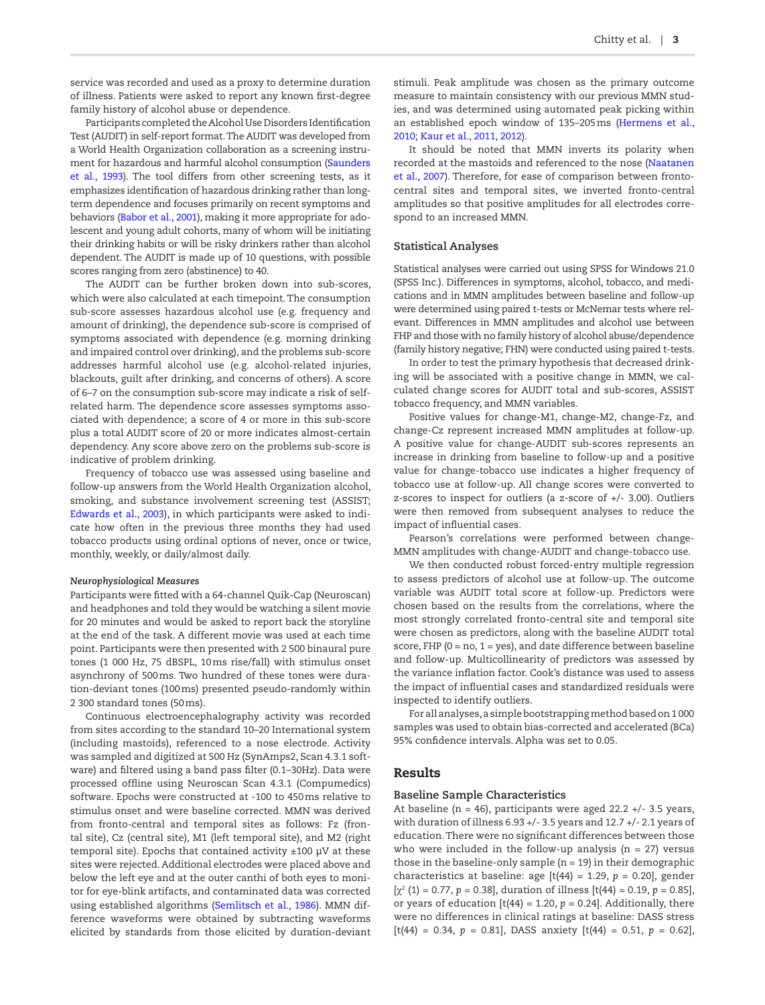service was recorded and used as a proxy to determine duration of illness. Patients were asked to report any known first-degree family history of alcohol abuse or dependence.

Participants completed the Alcohol Use Disorders Identification Test (AUDIT) in self-report format. The AUDIT was developed from a World Health Organization collaboration as a screening instrument for hazardous and harmful alcohol consumption [\(Saunders](#page-8-15)  [et al., 1993\)](#page-8-15). The tool differs from other screening tests, as it emphasizes identification of hazardous drinking rather than longterm dependence and focuses primarily on recent symptoms and behaviors ([Babor et al., 2001](#page-6-5)), making it more appropriate for adolescent and young adult cohorts, many of whom will be initiating their drinking habits or will be risky drinkers rather than alcohol dependent. The AUDIT is made up of 10 questions, with possible scores ranging from zero (abstinence) to 40.

The AUDIT can be further broken down into sub-scores, which were also calculated at each timepoint. The consumption sub-score assesses hazardous alcohol use (e.g. frequency and amount of drinking), the dependence sub-score is comprised of symptoms associated with dependence (e.g. morning drinking and impaired control over drinking), and the problems sub-score addresses harmful alcohol use (e.g. alcohol-related injuries, blackouts, guilt after drinking, and concerns of others). A score of 6–7 on the consumption sub-score may indicate a risk of selfrelated harm. The dependence score assesses symptoms associated with dependence; a score of 4 or more in this sub-score plus a total AUDIT score of 20 or more indicates almost-certain dependency. Any score above zero on the problems sub-score is indicative of problem drinking.

Frequency of tobacco use was assessed using baseline and follow-up answers from the World Health Organization alcohol, smoking, and substance involvement screening test (ASSIST; [Edwards et al., 2003\)](#page-7-26), in which participants were asked to indicate how often in the previous three months they had used tobacco products using ordinal options of never, once or twice, monthly, weekly, or daily/almost daily.

#### *Neurophysiological Measures*

Participants were fitted with a 64-channel Quik-Cap (Neuroscan) and headphones and told they would be watching a silent movie for 20 minutes and would be asked to report back the storyline at the end of the task. A different movie was used at each time point. Participants were then presented with 2 500 binaural pure tones (1 000 Hz, 75 dBSPL, 10ms rise/fall) with stimulus onset asynchrony of 500ms. Two hundred of these tones were duration-deviant tones (100ms) presented pseudo-randomly within 2 300 standard tones (50ms).

Continuous electroencephalography activity was recorded from sites according to the standard 10–20 International system (including mastoids), referenced to a nose electrode. Activity was sampled and digitized at 500 Hz (SynAmps2, Scan 4.3.1 software) and filtered using a band pass filter (0.1–30Hz). Data were processed offline using Neuroscan Scan 4.3.1 (Compumedics) software. Epochs were constructed at -100 to 450ms relative to stimulus onset and were baseline corrected. MMN was derived from fronto-central and temporal sites as follows: Fz (frontal site), Cz (central site), M1 (left temporal site), and M2 (right temporal site). Epochs that contained activity ±100 μV at these sites were rejected. Additional electrodes were placed above and below the left eye and at the outer canthi of both eyes to monitor for eye-blink artifacts, and contaminated data was corrected using established algorithms [\(Semlitsch et al., 1986](#page-8-16)). MMN difference waveforms were obtained by subtracting waveforms elicited by standards from those elicited by duration-deviant stimuli. Peak amplitude was chosen as the primary outcome measure to maintain consistency with our previous MMN studies, and was determined using automated peak picking within an established epoch window of 135–205ms ([Hermens et al.,](#page-7-21)  [2010](#page-7-21); [Kaur et al., 2011,](#page-7-20) [2012](#page-7-13)).

It should be noted that MMN inverts its polarity when recorded at the mastoids and referenced to the nose ([Naatanen](#page-8-17)  [et al., 2007](#page-8-17)). Therefore, for ease of comparison between frontocentral sites and temporal sites, we inverted fronto-central amplitudes so that positive amplitudes for all electrodes correspond to an increased MMN.

#### **Statistical Analyses**

Statistical analyses were carried out using SPSS for Windows 21.0 (SPSS Inc.). Differences in symptoms, alcohol, tobacco, and medications and in MMN amplitudes between baseline and follow-up were determined using paired t-tests or McNemar tests where relevant. Differences in MMN amplitudes and alcohol use between FHP and those with no family history of alcohol abuse/dependence (family history negative; FHN) were conducted using paired t-tests.

In order to test the primary hypothesis that decreased drinking will be associated with a positive change in MMN, we calculated change scores for AUDIT total and sub-scores, ASSIST tobacco frequency, and MMN variables.

Positive values for change-M1, change-M2, change-Fz, and change-Cz represent increased MMN amplitudes at follow-up. A positive value for change-AUDIT sub-scores represents an increase in drinking from baseline to follow-up and a positive value for change-tobacco use indicates a higher frequency of tobacco use at follow-up. All change scores were converted to z-scores to inspect for outliers (a z-score of +/- 3.00). Outliers were then removed from subsequent analyses to reduce the impact of influential cases.

Pearson's correlations were performed between change-MMN amplitudes with change-AUDIT and change-tobacco use.

We then conducted robust forced-entry multiple regression to assess predictors of alcohol use at follow-up. The outcome variable was AUDIT total score at follow-up. Predictors were chosen based on the results from the correlations, where the most strongly correlated fronto-central site and temporal site were chosen as predictors, along with the baseline AUDIT total score, FHP  $(0 = no, 1 = yes)$ , and date difference between baseline and follow-up. Multicollinearity of predictors was assessed by the variance inflation factor. Cook's distance was used to assess the impact of influential cases and standardized residuals were inspected to identify outliers.

For all analyses, a simple bootstrapping method based on 1 000 samples was used to obtain bias-corrected and accelerated (BCa) 95% confidence intervals. Alpha was set to 0.05.

# Results

#### **Baseline Sample Characteristics**

At baseline ( $n = 46$ ), participants were aged 22.2 +/- 3.5 years, with duration of illness 6.93 +/- 3.5 years and 12.7 +/- 2.1 years of education. There were no significant differences between those who were included in the follow-up analysis ( $n = 27$ ) versus those in the baseline-only sample ( $n = 19$ ) in their demographic characteristics at baseline: age  $[t(44) = 1.29, p = 0.20]$ , gender  $[\chi^2(1) = 0.77, p = 0.38]$ , duration of illness  $[t(44) = 0.19, p = 0.85]$ , or years of education  $[t(44) = 1.20, p = 0.24]$ . Additionally, there were no differences in clinical ratings at baseline: DASS stress  $[t(44) = 0.34, p = 0.81],$  DASS anxiety  $[t(44) = 0.51, p = 0.62],$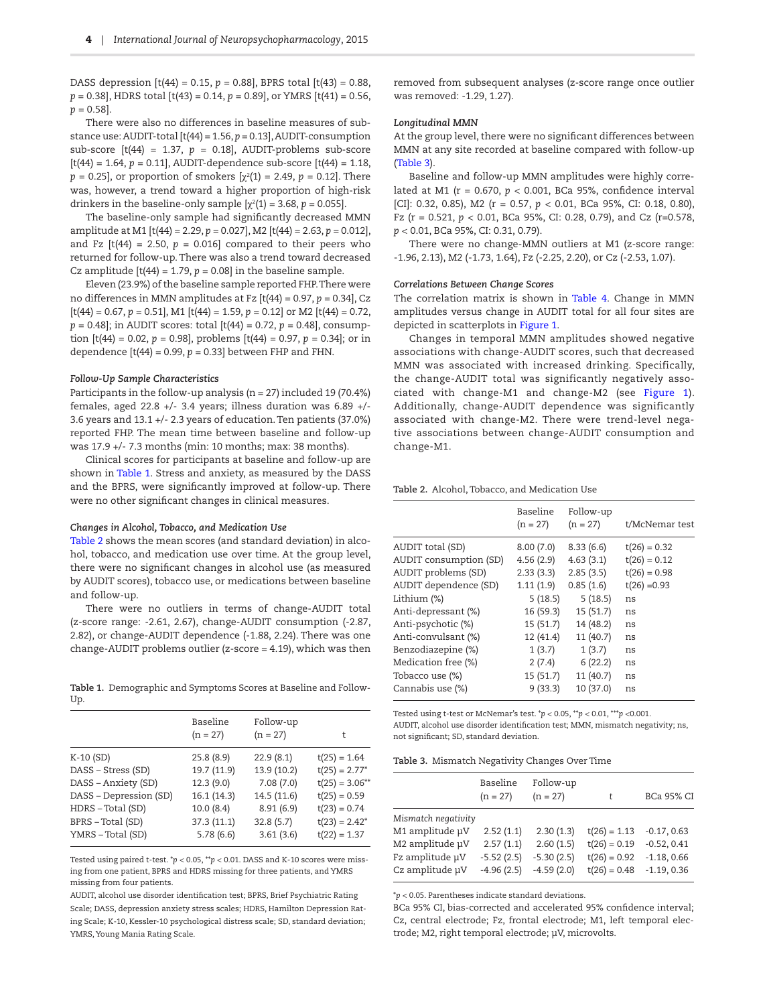DASS depression  $[t(44) = 0.15, p = 0.88]$ , BPRS total  $[t(43) = 0.88]$ , *p* = 0.38], HDRS total [t(43) = 0.14, *p* = 0.89], or YMRS [t(41) = 0.56,  $p = 0.58$ .

There were also no differences in baseline measures of substance use: AUDIT-total [t(44) = 1.56, *p* = 0.13], AUDIT-consumption sub-score  $[t(44) = 1.37, p = 0.18]$ , AUDIT-problems sub-score [t(44) = 1.64, *p* = 0.11], AUDIT-dependence sub-score [t(44) = 1.18,  $p = 0.25$ ], or proportion of smokers  $[χ<sup>2</sup>(1) = 2.49, p = 0.12]$ . There was, however, a trend toward a higher proportion of high-risk drinkers in the baseline-only sample  $[\chi^2(1) = 3.68, p = 0.055]$ .

The baseline-only sample had significantly decreased MMN amplitude at M1 [t(44) = 2.29, *p* = 0.027], M2 [t(44) = 2.63, *p* = 0.012], and Fz  $[t(44) = 2.50, p = 0.016]$  compared to their peers who returned for follow-up. There was also a trend toward decreased Cz amplitude  $[t(44) = 1.79, p = 0.08]$  in the baseline sample.

Eleven (23.9%) of the baseline sample reported FHP. There were no differences in MMN amplitudes at Fz [t(44) = 0.97, *p* = 0.34], Cz  $[t(44) = 0.67, p = 0.51], M1[t(44) = 1.59, p = 0.12]$  or M2  $[t(44) = 0.72,$ *p* = 0.48]; in AUDIT scores: total [t(44) = 0.72, *p* = 0.48], consumption  $[t(44) = 0.02, p = 0.98]$ , problems  $[t(44) = 0.97, p = 0.34]$ ; or in dependence  $[t(44) = 0.99, p = 0.33]$  between FHP and FHN.

#### *Follow-Up Sample Characteristics*

Participants in the follow-up analysis ( $n = 27$ ) included 19 (70.4%) females, aged 22.8  $+/-$  3.4 years; illness duration was 6.89  $+/-$ 3.6 years and 13.1 +/- 2.3 years of education. Ten patients (37.0%) reported FHP. The mean time between baseline and follow-up was 17.9 +/- 7.3 months (min: 10 months; max: 38 months).

Clinical scores for participants at baseline and follow-up are shown in [Table 1](#page-3-0). Stress and anxiety, as measured by the DASS and the BPRS, were significantly improved at follow-up. There were no other significant changes in clinical measures.

#### *Changes in Alcohol, Tobacco, and Medication Use*

[Table 2](#page-3-1) shows the mean scores (and standard deviation) in alcohol, tobacco, and medication use over time. At the group level, there were no significant changes in alcohol use (as measured by AUDIT scores), tobacco use, or medications between baseline and follow-up.

There were no outliers in terms of change-AUDIT total (z-score range: -2.61, 2.67), change-AUDIT consumption (-2.87, 2.82), or change-AUDIT dependence (-1.88, 2.24). There was one change-AUDIT problems outlier (z-score = 4.19), which was then

<span id="page-3-0"></span>**Table 1.** Demographic and Symptoms Scores at Baseline and Follow-Up.

|                        | Baseline<br>$(n = 27)$ | Follow-up<br>$(n = 27)$ | t                |
|------------------------|------------------------|-------------------------|------------------|
| $K-10(SD)$             | 25.8 (8.9)             | 22.9(8.1)               | $t(25) = 1.64$   |
| DASS - Stress (SD)     | 19.7 (11.9)            | 13.9 (10.2)             | $t(25) = 2.77*$  |
| DASS - Anxiety (SD)    | 12.3(9.0)              | 7.08(7.0)               | $t(25) = 3.06**$ |
| DASS - Depression (SD) | 16.1(14.3)             | 14.5 (11.6)             | $t(25) = 0.59$   |
| HDRS - Total (SD)      | 10.0(8.4)              | 8.91(6.9)               | $t(23) = 0.74$   |
| BPRS - Total (SD)      | 37.3(11.1)             | 32.8(5.7)               | $t(23) = 2.42^*$ |
| YMRS - Total (SD)      | 5.78(6.6)              | 3.61(3.6)               | $t(22) = 1.37$   |
|                        |                        |                         |                  |

Tested using paired t-test. \**p* < 0.05, \*\**p* < 0.01. DASS and K-10 scores were missing from one patient, BPRS and HDRS missing for three patients, and YMRS missing from four patients.

AUDIT, alcohol use disorder identification test; BPRS, Brief Psychiatric Rating Scale; DASS, depression anxiety stress scales; HDRS, Hamilton Depression Rating Scale; K-10, Kessler-10 psychological distress scale; SD, standard deviation; YMRS, Young Mania Rating Scale.

removed from subsequent analyses (z-score range once outlier was removed: -1.29, 1.27).

#### *Longitudinal MMN*

At the group level, there were no significant differences between MMN at any site recorded at baseline compared with follow-up [\(Table 3\)](#page-3-2).

Baseline and follow-up MMN amplitudes were highly correlated at M1 (r = 0.670, p < 0.001, BCa 95%, confidence interval [CI]: 0.32, 0.85), M2 (r = 0.57,  $p < 0.01$ , BCa 95%, CI: 0.18, 0.80), Fz (r = 0.521, *p* < 0.01, BCa 95%, CI: 0.28, 0.79), and Cz (r=0.578, *p* < 0.01, BCa 95%, CI: 0.31, 0.79).

There were no change-MMN outliers at M1 (z-score range: -1.96, 2.13), M2 (-1.73, 1.64), Fz (-2.25, 2.20), or Cz (-2.53, 1.07).

#### *Correlations Between Change Scores*

The correlation matrix is shown in [Table 4.](#page-4-0) Change in MMN amplitudes versus change in AUDIT total for all four sites are depicted in scatterplots in [Figure 1.](#page-4-1)

Changes in temporal MMN amplitudes showed negative associations with change-AUDIT scores, such that decreased MMN was associated with increased drinking. Specifically, the change-AUDIT total was significantly negatively associated with change-M1 and change-M2 (see [Figure 1](#page-4-1)). Additionally, change-AUDIT dependence was significantly associated with change-M2. There were trend-level negative associations between change-AUDIT consumption and change-M1.

<span id="page-3-1"></span>**Table 2.** Alcohol, Tobacco, and Medication Use

|                        | Baseline<br>$(n = 27)$ | Follow-up<br>$(n = 27)$ | t/McNemar test |
|------------------------|------------------------|-------------------------|----------------|
| AUDIT total (SD)       | 8.00(7.0)              | 8.33(6.6)               | $t(26) = 0.32$ |
| AUDIT consumption (SD) | 4.56(2.9)              | 4.63(3.1)               | $t(26) = 0.12$ |
| AUDIT problems (SD)    | 2.33(3.3)              | 2.85(3.5)               | $t(26) = 0.98$ |
| AUDIT dependence (SD)  | 1.11(1.9)              | 0.85(1.6)               | $t(26) = 0.93$ |
| Lithium (%)            | 5(18.5)                | 5(18.5)                 | ns             |
| Anti-depressant (%)    | 16 (59.3)              | 15 (51.7)               | ns             |
| Anti-psychotic (%)     | 15 (51.7)              | 14 (48.2)               | ns             |
| Anti-convulsant (%)    | 12 (41.4)              | 11 (40.7)               | ns             |
| Benzodiazepine (%)     | 1(3.7)                 | 1(3.7)                  | ns             |
| Medication free (%)    | 2(7.4)                 | 6(22.2)                 | ns             |
| Tobacco use (%)        | 15 (51.7)              | 11 (40.7)               | ns             |
| Cannabis use (%)       | 9(33.3)                | 10 (37.0)               | ns             |
|                        |                        |                         |                |

Tested using t-test or McNemar's test. \**p* < 0.05, \*\**p* < 0.01, \*\*\**p* <0.001. AUDIT, alcohol use disorder identification test; MMN, mismatch negativity; ns, not significant; SD, standard deviation.

<span id="page-3-2"></span>**Table 3.** Mismatch Negativity Changes Over Time

|                                    | Baseline<br>$(n = 27)$       | Follow-up<br>$(n = 27)$      | t                                | <b>BCa 95% CI</b>              |
|------------------------------------|------------------------------|------------------------------|----------------------------------|--------------------------------|
| Mismatch negativity                |                              |                              |                                  |                                |
| $M1$ amplitude $\mu$ V             | 2.52(1.1)                    | 2.30(1.3)                    | $t(26) = 1.13$                   | $-0.17, 0.63$                  |
| M2 amplitude µV                    | 2.57(1.1)                    | 2.60(1.5)                    | $t(26) = 0.19$                   | $-0.52, 0.41$                  |
| Fz amplitude µV<br>Cz amplitude µV | $-5.52(2.5)$<br>$-4.96(2.5)$ | $-5.30(2.5)$<br>$-4.59(2.0)$ | $t(26) = 0.92$<br>$t(26) = 0.48$ | $-1.18, 0.66$<br>$-1.19, 0.36$ |
|                                    |                              |                              |                                  |                                |

\**p* < 0.05. Parentheses indicate standard deviations.

BCa 95% CI, bias-corrected and accelerated 95% confidence interval; Cz, central electrode; Fz, frontal electrode; M1, left temporal electrode; M2, right temporal electrode; μV, microvolts.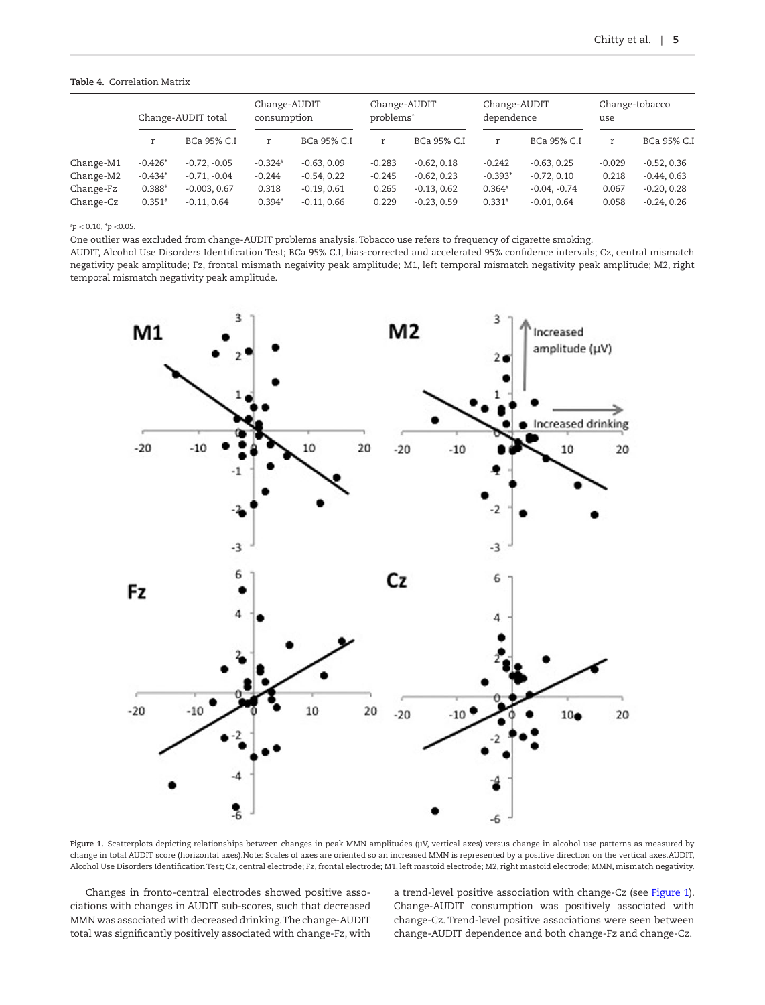<span id="page-4-0"></span>**Table 4.** Correlation Matrix

|           | Change-AUDIT total |                | Change-AUDIT<br>consumption |               | Change-AUDIT<br>problems <sup>^</sup> |               | Change-AUDIT<br>dependence |                | Change-tobacco<br>use |               |
|-----------|--------------------|----------------|-----------------------------|---------------|---------------------------------------|---------------|----------------------------|----------------|-----------------------|---------------|
|           |                    | BCa 95% C.I    |                             | BCa 95% C.I   | r                                     | BCa 95% C.I   | v                          | BCa 95% C.I    |                       | BCa 95% C.I   |
| Change-M1 | $-0.426*$          | $-0.72, -0.05$ | $-0.324*$                   | $-0.63, 0.09$ | $-0.283$                              | $-0.62, 0.18$ | $-0.242$                   | $-0.63, 0.25$  | $-0.029$              | $-0.52, 0.36$ |
| Change-M2 | $-0.434*$          | $-0.71, -0.04$ | $-0.244$                    | $-0.54, 0.22$ | $-0.245$                              | $-0.62, 0.23$ | $-0.393*$                  | $-0.72, 0.10$  | 0.218                 | $-0.44, 0.63$ |
| Change-Fz | $0.388*$           | $-0.003, 0.67$ | 0.318                       | $-0.19, 0.61$ | 0.265                                 | $-0.13, 0.62$ | $0.364*$                   | $-0.04, -0.74$ | 0.067                 | $-0.20, 0.28$ |
| Change-Cz | $0.351*$           | $-0.11, 0.64$  | $0.394*$                    | $-0.11, 0.66$ | 0.229                                 | $-0.23, 0.59$ | $0.331*$                   | $-0.01, 0.64$  | 0.058                 | $-0.24, 0.26$ |

# *p* < 0.10, \**p* <0.05.

One outlier was excluded from change-AUDIT problems analysis. Tobacco use refers to frequency of cigarette smoking.

AUDIT, Alcohol Use Disorders Identification Test; BCa 95% C.I, bias-corrected and accelerated 95% confidence intervals; Cz, central mismatch negativity peak amplitude; Fz, frontal mismath negaivity peak amplitude; M1, left temporal mismatch negativity peak amplitude; M2, right temporal mismatch negativity peak amplitude.



<span id="page-4-1"></span>**Figure 1.** Scatterplots depicting relationships between changes in peak MMN amplitudes (μV, vertical axes) versus change in alcohol use patterns as measured by change in total AUDIT score (horizontal axes).Note: Scales of axes are oriented so an increased MMN is represented by a positive direction on the vertical axes.AUDIT, Alcohol Use Disorders Identification Test; Cz, central electrode; Fz, frontal electrode; M1, left mastoid electrode; M2, right mastoid electrode; MMN, mismatch negativity.

Changes in fronto-central electrodes showed positive associations with changes in AUDIT sub-scores, such that decreased MMN was associated with decreased drinking. The change-AUDIT total was significantly positively associated with change-Fz, with

a trend-level positive association with change-Cz (see [Figure 1\)](#page-4-1). Change-AUDIT consumption was positively associated with change-Cz. Trend-level positive associations were seen between change-AUDIT dependence and both change-Fz and change-Cz.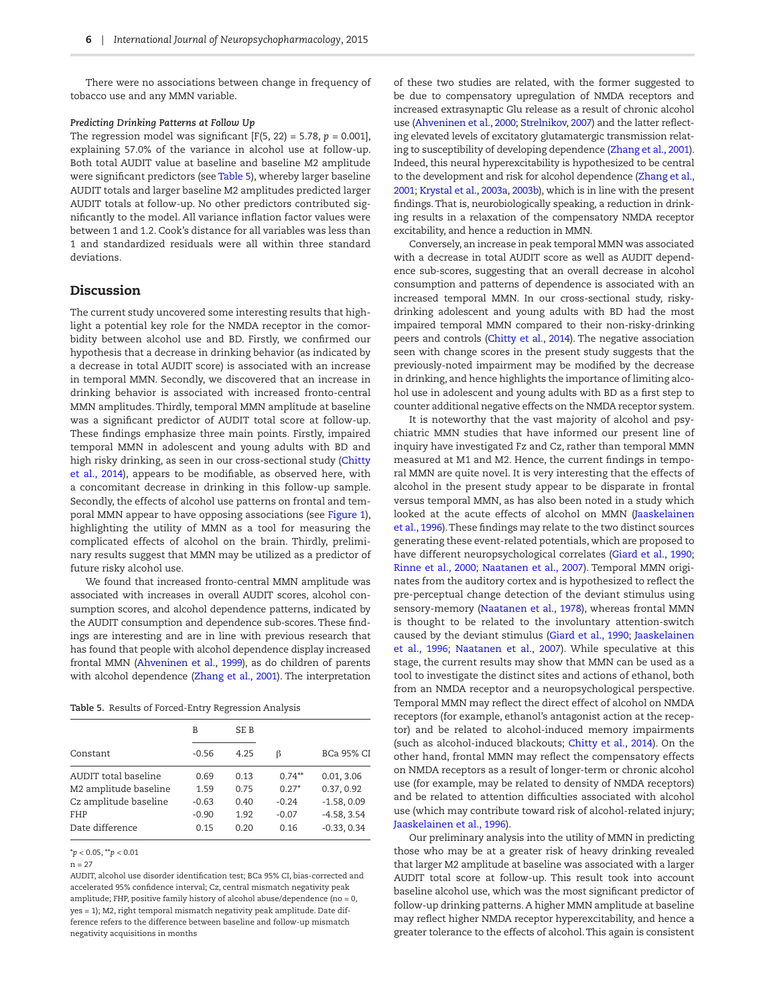There were no associations between change in frequency of tobacco use and any MMN variable.

### *Predicting Drinking Patterns at Follow Up*

The regression model was significant  $[F(5, 22) = 5.78, p = 0.001]$ , explaining 57.0% of the variance in alcohol use at follow-up. Both total AUDIT value at baseline and baseline M2 amplitude were significant predictors (see [Table 5](#page-5-0)), whereby larger baseline AUDIT totals and larger baseline M2 amplitudes predicted larger AUDIT totals at follow-up. No other predictors contributed significantly to the model. All variance inflation factor values were between 1 and 1.2. Cook's distance for all variables was less than 1 and standardized residuals were all within three standard deviations.

## Discussion

The current study uncovered some interesting results that highlight a potential key role for the NMDA receptor in the comorbidity between alcohol use and BD. Firstly, we confirmed our hypothesis that a decrease in drinking behavior (as indicated by a decrease in total AUDIT score) is associated with an increase in temporal MMN. Secondly, we discovered that an increase in drinking behavior is associated with increased fronto-central MMN amplitudes. Thirdly, temporal MMN amplitude at baseline was a significant predictor of AUDIT total score at follow-up. These findings emphasize three main points. Firstly, impaired temporal MMN in adolescent and young adults with BD and high risky drinking, as seen in our cross-sectional study [\(Chitty](#page-7-19)  [et al., 2014\)](#page-7-19), appears to be modifiable, as observed here, with a concomitant decrease in drinking in this follow-up sample. Secondly, the effects of alcohol use patterns on frontal and temporal MMN appear to have opposing associations (see [Figure 1](#page-4-1)), highlighting the utility of MMN as a tool for measuring the complicated effects of alcohol on the brain. Thirdly, preliminary results suggest that MMN may be utilized as a predictor of future risky alcohol use.

We found that increased fronto-central MMN amplitude was associated with increases in overall AUDIT scores, alcohol consumption scores, and alcohol dependence patterns, indicated by the AUDIT consumption and dependence sub-scores. These findings are interesting and are in line with previous research that has found that people with alcohol dependence display increased frontal MMN ([Ahveninen et al., 1999\)](#page-6-6), as do children of parents with alcohol dependence [\(Zhang et al., 2001\)](#page-8-12). The interpretation

<span id="page-5-0"></span>**Table 5.** Results of Forced-Entry Regression Analysis

|                       | В       | SE B |           |                   |
|-----------------------|---------|------|-----------|-------------------|
| Constant              | $-0.56$ | 4.25 | ß         | <b>BCa 95% CI</b> |
| AUDIT total baseline  | 0.69    | 0.13 | $0.74***$ | 0.01, 3.06        |
| M2 amplitude baseline | 1.59    | 0.75 | $0.27*$   | 0.37, 0.92        |
| Cz amplitude baseline | $-0.63$ | 0.40 | $-0.24$   | $-1.58, 0.09$     |
| <b>FHP</b>            | $-0.90$ | 1.92 | $-0.07$   | $-4.58, 3.54$     |
| Date difference       | 0.15    | 0.20 | 0.16      | $-0.33, 0.34$     |

\**p* < 0.05, \*\**p* < 0.01

 $n = 27$ 

AUDIT, alcohol use disorder identification test; BCa 95% CI, bias-corrected and accelerated 95% confidence interval; Cz, central mismatch negativity peak amplitude; FHP, positive family history of alcohol abuse/dependence (no = 0, yes = 1); M2, right temporal mismatch negativity peak amplitude. Date difference refers to the difference between baseline and follow-up mismatch negativity acquisitions in months

of these two studies are related, with the former suggested to be due to compensatory upregulation of NMDA receptors and increased extrasynaptic Glu release as a result of chronic alcohol use [\(Ahveninen et al., 2000;](#page-6-2) [Strelnikov, 2007\)](#page-8-18) and the latter reflecting elevated levels of excitatory glutamatergic transmission relating to susceptibility of developing dependence [\(Zhang et al., 2001\)](#page-8-12). Indeed, this neural hyperexcitability is hypothesized to be central to the development and risk for alcohol dependence [\(Zhang et al.,](#page-8-12)  [2001;](#page-8-12) [Krystal et al., 2003a](#page-7-6), [2003b](#page-7-27)), which is in line with the present findings. That is, neurobiologically speaking, a reduction in drinking results in a relaxation of the compensatory NMDA receptor excitability, and hence a reduction in MMN.

Conversely, an increase in peak temporal MMN was associated with a decrease in total AUDIT score as well as AUDIT dependence sub-scores, suggesting that an overall decrease in alcohol consumption and patterns of dependence is associated with an increased temporal MMN. In our cross-sectional study, riskydrinking adolescent and young adults with BD had the most impaired temporal MMN compared to their non-risky-drinking peers and controls ([Chitty et al., 2014\)](#page-7-19). The negative association seen with change scores in the present study suggests that the previously-noted impairment may be modified by the decrease in drinking, and hence highlights the importance of limiting alcohol use in adolescent and young adults with BD as a first step to counter additional negative effects on the NMDA receptor system.

It is noteworthy that the vast majority of alcohol and psychiatric MMN studies that have informed our present line of inquiry have investigated Fz and Cz, rather than temporal MMN measured at M1 and M2. Hence, the current findings in temporal MMN are quite novel. It is very interesting that the effects of alcohol in the present study appear to be disparate in frontal versus temporal MMN, as has also been noted in a study which looked at the acute effects of alcohol on MMN [\(Jaaskelainen](#page-7-16)  [et al., 1996](#page-7-16)). These findings may relate to the two distinct sources generating these event-related potentials, which are proposed to have different neuropsychological correlates ([Giard et al., 1990;](#page-7-28) [Rinne et al., 2000;](#page-8-19) [Naatanen et al., 2007](#page-8-17)). Temporal MMN originates from the auditory cortex and is hypothesized to reflect the pre-perceptual change detection of the deviant stimulus using sensory-memory [\(Naatanen et al., 1978\)](#page-7-29), whereas frontal MMN is thought to be related to the involuntary attention-switch caused by the deviant stimulus ([Giard et al., 1990;](#page-7-28) [Jaaskelainen](#page-7-16)  [et al., 1996;](#page-7-16) [Naatanen et al., 2007\)](#page-8-17). While speculative at this stage, the current results may show that MMN can be used as a tool to investigate the distinct sites and actions of ethanol, both from an NMDA receptor and a neuropsychological perspective. Temporal MMN may reflect the direct effect of alcohol on NMDA receptors (for example, ethanol's antagonist action at the receptor) and be related to alcohol-induced memory impairments (such as alcohol-induced blackouts; [Chitty et al., 2014](#page-7-19)). On the other hand, frontal MMN may reflect the compensatory effects on NMDA receptors as a result of longer-term or chronic alcohol use (for example, may be related to density of NMDA receptors) and be related to attention difficulties associated with alcohol use (which may contribute toward risk of alcohol-related injury; [Jaaskelainen et al., 1996\)](#page-7-16).

Our preliminary analysis into the utility of MMN in predicting those who may be at a greater risk of heavy drinking revealed that larger M2 amplitude at baseline was associated with a larger AUDIT total score at follow-up. This result took into account baseline alcohol use, which was the most significant predictor of follow-up drinking patterns. A higher MMN amplitude at baseline may reflect higher NMDA receptor hyperexcitability, and hence a greater tolerance to the effects of alcohol. This again is consistent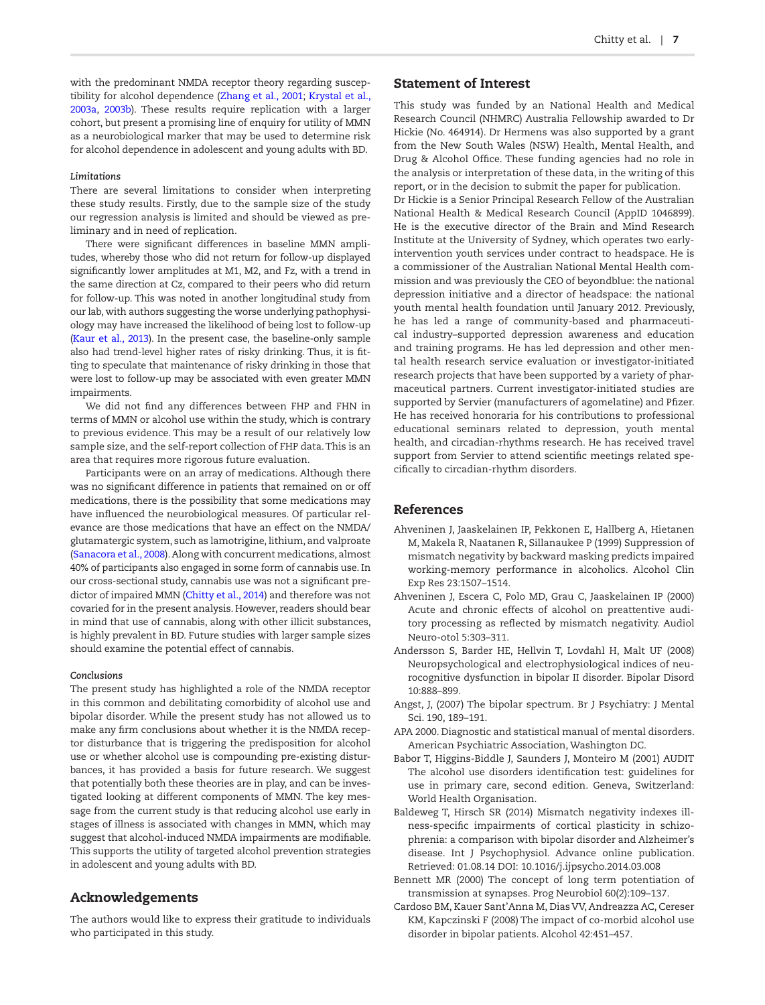with the predominant NMDA receptor theory regarding susceptibility for alcohol dependence [\(Zhang et al., 2001;](#page-8-12) [Krystal et al.,](#page-7-6)  [2003a](#page-7-6), [2003b](#page-7-27)). These results require replication with a larger cohort, but present a promising line of enquiry for utility of MMN as a neurobiological marker that may be used to determine risk for alcohol dependence in adolescent and young adults with BD.

#### *Limitations*

There are several limitations to consider when interpreting these study results. Firstly, due to the sample size of the study our regression analysis is limited and should be viewed as preliminary and in need of replication.

There were significant differences in baseline MMN amplitudes, whereby those who did not return for follow-up displayed significantly lower amplitudes at M1, M2, and Fz, with a trend in the same direction at Cz, compared to their peers who did return for follow-up. This was noted in another longitudinal study from our lab, with authors suggesting the worse underlying pathophysiology may have increased the likelihood of being lost to follow-up ([Kaur et al., 2013\)](#page-7-30). In the present case, the baseline-only sample also had trend-level higher rates of risky drinking. Thus, it is fitting to speculate that maintenance of risky drinking in those that were lost to follow-up may be associated with even greater MMN impairments.

We did not find any differences between FHP and FHN in terms of MMN or alcohol use within the study, which is contrary to previous evidence. This may be a result of our relatively low sample size, and the self-report collection of FHP data. This is an area that requires more rigorous future evaluation.

Participants were on an array of medications. Although there was no significant difference in patients that remained on or off medications, there is the possibility that some medications may have influenced the neurobiological measures. Of particular relevance are those medications that have an effect on the NMDA/ glutamatergic system, such as lamotrigine, lithium, and valproate ([Sanacora et al., 2008](#page-8-6)). Along with concurrent medications, almost 40% of participants also engaged in some form of cannabis use. In our cross-sectional study, cannabis use was not a significant predictor of impaired MMN ([Chitty et al., 2014\)](#page-7-19) and therefore was not covaried for in the present analysis. However, readers should bear in mind that use of cannabis, along with other illicit substances, is highly prevalent in BD. Future studies with larger sample sizes should examine the potential effect of cannabis.

#### *Conclusions*

The present study has highlighted a role of the NMDA receptor in this common and debilitating comorbidity of alcohol use and bipolar disorder. While the present study has not allowed us to make any firm conclusions about whether it is the NMDA receptor disturbance that is triggering the predisposition for alcohol use or whether alcohol use is compounding pre-existing disturbances, it has provided a basis for future research. We suggest that potentially both these theories are in play, and can be investigated looking at different components of MMN. The key message from the current study is that reducing alcohol use early in stages of illness is associated with changes in MMN, which may suggest that alcohol-induced NMDA impairments are modifiable. This supports the utility of targeted alcohol prevention strategies in adolescent and young adults with BD.

# Acknowledgements

The authors would like to express their gratitude to individuals who participated in this study.

# Statement of Interest

This study was funded by an National Health and Medical Research Council (NHMRC) Australia Fellowship awarded to Dr Hickie (No. 464914). Dr Hermens was also supported by a grant from the New South Wales (NSW) Health, Mental Health, and Drug & Alcohol Office. These funding agencies had no role in the analysis or interpretation of these data, in the writing of this report, or in the decision to submit the paper for publication.

Dr Hickie is a Senior Principal Research Fellow of the Australian National Health & Medical Research Council (AppID 1046899). He is the executive director of the Brain and Mind Research Institute at the University of Sydney, which operates two earlyintervention youth services under contract to headspace. He is a commissioner of the Australian National Mental Health commission and was previously the CEO of beyondblue: the national depression initiative and a director of headspace: the national youth mental health foundation until January 2012. Previously, he has led a range of community-based and pharmaceutical industry–supported depression awareness and education and training programs. He has led depression and other mental health research service evaluation or investigator-initiated research projects that have been supported by a variety of pharmaceutical partners. Current investigator-initiated studies are supported by Servier (manufacturers of agomelatine) and Pfizer. He has received honoraria for his contributions to professional educational seminars related to depression, youth mental health, and circadian-rhythms research. He has received travel support from Servier to attend scientific meetings related specifically to circadian-rhythm disorders.

## References

- <span id="page-6-6"></span>Ahveninen J, Jaaskelainen IP, Pekkonen E, Hallberg A, Hietanen M, Makela R, Naatanen R, Sillanaukee P (1999) Suppression of mismatch negativity by backward masking predicts impaired working-memory performance in alcoholics. Alcohol Clin Exp Res 23:1507–1514.
- <span id="page-6-2"></span>Ahveninen J, Escera C, Polo MD, Grau C, Jaaskelainen IP (2000) Acute and chronic effects of alcohol on preattentive auditory processing as reflected by mismatch negativity. Audiol Neuro-otol 5:303–311.
- <span id="page-6-1"></span>Andersson S, Barder HE, Hellvin T, Lovdahl H, Malt UF (2008) Neuropsychological and electrophysiological indices of neurocognitive dysfunction in bipolar II disorder. Bipolar Disord 10:888–899.
- Angst, J, (2007) The bipolar spectrum. Br J Psychiatry: J Mental Sci. 190, 189–191.
- APA 2000. Diagnostic and statistical manual of mental disorders. American Psychiatric Association, Washington DC.
- <span id="page-6-5"></span>Babor T, Higgins-Biddle J, Saunders J, Monteiro M (2001) AUDIT The alcohol use disorders identification test: guidelines for use in primary care, second edition. Geneva, Switzerland: World Health Organisation.
- <span id="page-6-3"></span>Baldeweg T, Hirsch SR (2014) Mismatch negativity indexes illness-specific impairments of cortical plasticity in schizophrenia: a comparison with bipolar disorder and Alzheimer's disease. Int J Psychophysiol. Advance online publication. Retrieved: 01.08.14 DOI: 10.1016/j.ijpsycho.2014.03.008
- <span id="page-6-4"></span>Bennett MR (2000) The concept of long term potentiation of transmission at synapses. Prog Neurobiol 60(2):109–137.
- <span id="page-6-0"></span>Cardoso BM, Kauer Sant'Anna M, Dias VV, Andreazza AC, Cereser KM, Kapczinski F (2008) The impact of co-morbid alcohol use disorder in bipolar patients. Alcohol 42:451–457.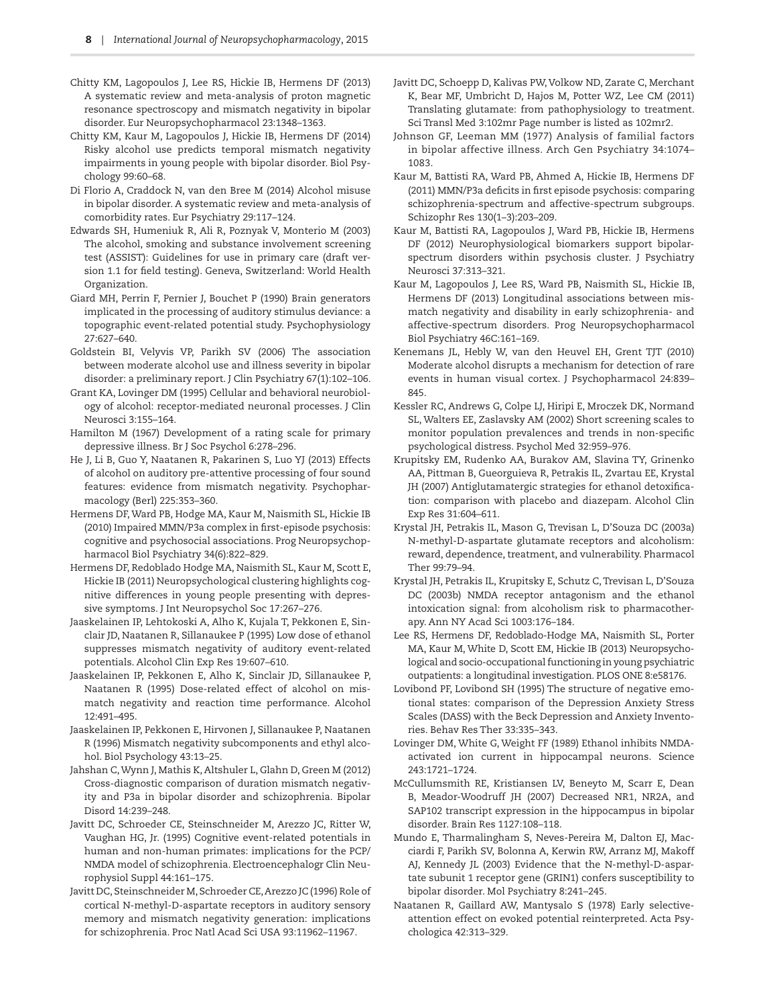- <span id="page-7-14"></span>Chitty KM, Lagopoulos J, Lee RS, Hickie IB, Hermens DF (2013) A systematic review and meta-analysis of proton magnetic resonance spectroscopy and mismatch negativity in bipolar disorder. Eur Neuropsychopharmacol 23:1348–1363.
- <span id="page-7-19"></span>Chitty KM, Kaur M, Lagopoulos J, Hickie IB, Hermens DF (2014) Risky alcohol use predicts temporal mismatch negativity impairments in young people with bipolar disorder. Biol Psychology 99:60–68.
- <span id="page-7-0"></span>Di Florio A, Craddock N, van den Bree M (2014) Alcohol misuse in bipolar disorder. A systematic review and meta-analysis of comorbidity rates. Eur Psychiatry 29:117–124.
- <span id="page-7-26"></span>Edwards SH, Humeniuk R, Ali R, Poznyak V, Monterio M (2003) The alcohol, smoking and substance involvement screening test (ASSIST): Guidelines for use in primary care (draft version 1.1 for field testing). Geneva, Switzerland: World Health Organization.
- <span id="page-7-28"></span>Giard MH, Perrin F, Pernier J, Bouchet P (1990) Brain generators implicated in the processing of auditory stimulus deviance: a topographic event-related potential study. Psychophysiology 27:627–640.
- <span id="page-7-1"></span>Goldstein BI, Velyvis VP, Parikh SV (2006) The association between moderate alcohol use and illness severity in bipolar disorder: a preliminary report. J Clin Psychiatry 67(1):102–106.
- <span id="page-7-4"></span>Grant KA, Lovinger DM (1995) Cellular and behavioral neurobiology of alcohol: receptor-mediated neuronal processes. J Clin Neurosci 3:155–164.
- <span id="page-7-23"></span>Hamilton M (1967) Development of a rating scale for primary depressive illness. Br J Soc Psychol 6:278–296.
- <span id="page-7-18"></span>He J, Li B, Guo Y, Naatanen R, Pakarinen S, Luo YJ (2013) Effects of alcohol on auditory pre-attentive processing of four sound features: evidence from mismatch negativity. Psychopharmacology (Berl) 225:353–360.
- <span id="page-7-21"></span>Hermens DF, Ward PB, Hodge MA, Kaur M, Naismith SL, Hickie IB (2010) Impaired MMN/P3a complex in first-episode psychosis: cognitive and psychosocial associations. Prog Neuropsychopharmacol Biol Psychiatry 34(6):822–829.
- <span id="page-7-20"></span>Hermens DF, Redoblado Hodge MA, Naismith SL, Kaur M, Scott E, Hickie IB (2011) Neuropsychological clustering highlights cognitive differences in young people presenting with depressive symptoms. J Int Neuropsychol Soc 17:267–276.
- <span id="page-7-15"></span>Jaaskelainen IP, Lehtokoski A, Alho K, Kujala T, Pekkonen E, Sinclair JD, Naatanen R, Sillanaukee P (1995) Low dose of ethanol suppresses mismatch negativity of auditory event-related potentials. Alcohol Clin Exp Res 19:607–610.
- Jaaskelainen IP, Pekkonen E, Alho K, Sinclair JD, Sillanaukee P, Naatanen R (1995) Dose-related effect of alcohol on mismatch negativity and reaction time performance. Alcohol 12:491–495.
- <span id="page-7-16"></span>Jaaskelainen IP, Pekkonen E, Hirvonen J, Sillanaukee P, Naatanen R (1996) Mismatch negativity subcomponents and ethyl alcohol. Biol Psychology 43:13–25.
- <span id="page-7-12"></span>Jahshan C, Wynn J, Mathis K, Altshuler L, Glahn D, Green M (2012) Cross-diagnostic comparison of duration mismatch negativity and P3a in bipolar disorder and schizophrenia. Bipolar Disord 14:239–248.
- <span id="page-7-9"></span>Javitt DC, Schroeder CE, Steinschneider M, Arezzo JC, Ritter W, Vaughan HG, Jr. (1995) Cognitive event-related potentials in human and non-human primates: implications for the PCP/ NMDA model of schizophrenia. Electroencephalogr Clin Neurophysiol Suppl 44:161–175.
- <span id="page-7-10"></span>Javitt DC, Steinschneider M, Schroeder CE, Arezzo JC (1996) Role of cortical N-methyl-D-aspartate receptors in auditory sensory memory and mismatch negativity generation: implications for schizophrenia. Proc Natl Acad Sci USA 93:11962–11967.
- <span id="page-7-11"></span>Javitt DC, Schoepp D, Kalivas PW, Volkow ND, Zarate C, Merchant K, Bear MF, Umbricht D, Hajos M, Potter WZ, Lee CM (2011) Translating glutamate: from pathophysiology to treatment. Sci Transl Med 3:102mr Page number is listed as 102mr2.
- <span id="page-7-8"></span>Johnson GF, Leeman MM (1977) Analysis of familial factors in bipolar affective illness. Arch Gen Psychiatry 34:1074– 1083.
- Kaur M, Battisti RA, Ward PB, Ahmed A, Hickie IB, Hermens DF (2011) MMN/P3a deficits in first episode psychosis: comparing schizophrenia-spectrum and affective-spectrum subgroups. Schizophr Res 130(1–3):203–209.
- <span id="page-7-13"></span>Kaur M, Battisti RA, Lagopoulos J, Ward PB, Hickie IB, Hermens DF (2012) Neurophysiological biomarkers support bipolarspectrum disorders within psychosis cluster. J Psychiatry Neurosci 37:313–321.
- <span id="page-7-30"></span>Kaur M, Lagopoulos J, Lee RS, Ward PB, Naismith SL, Hickie IB, Hermens DF (2013) Longitudinal associations between mismatch negativity and disability in early schizophrenia- and affective-spectrum disorders. Prog Neuropsychopharmacol Biol Psychiatry 46C:161–169.
- <span id="page-7-17"></span>Kenemans JL, Hebly W, van den Heuvel EH, Grent TJT (2010) Moderate alcohol disrupts a mechanism for detection of rare events in human visual cortex. J Psychopharmacol 24:839– 845.
- <span id="page-7-25"></span>Kessler RC, Andrews G, Colpe LJ, Hiripi E, Mroczek DK, Normand SL, Walters EE, Zaslavsky AM (2002) Short screening scales to monitor population prevalences and trends in non-specific psychological distress. Psychol Med 32:959–976.
- <span id="page-7-7"></span>Krupitsky EM, Rudenko AA, Burakov AM, Slavina TY, Grinenko AA, Pittman B, Gueorguieva R, Petrakis IL, Zvartau EE, Krystal JH (2007) Antiglutamatergic strategies for ethanol detoxification: comparison with placebo and diazepam. Alcohol Clin Exp Res 31:604–611.
- <span id="page-7-6"></span>Krystal JH, Petrakis IL, Mason G, Trevisan L, D'Souza DC (2003a) N-methyl-D-aspartate glutamate receptors and alcoholism: reward, dependence, treatment, and vulnerability. Pharmacol Ther 99:79–94.
- <span id="page-7-27"></span>Krystal JH, Petrakis IL, Krupitsky E, Schutz C, Trevisan L, D'Souza DC (2003b) NMDA receptor antagonism and the ethanol intoxication signal: from alcoholism risk to pharmacotherapy. Ann NY Acad Sci 1003:176–184.
- <span id="page-7-22"></span>Lee RS, Hermens DF, Redoblado-Hodge MA, Naismith SL, Porter MA, Kaur M, White D, Scott EM, Hickie IB (2013) Neuropsychological and socio-occupational functioning in young psychiatric outpatients: a longitudinal investigation. PLOS ONE 8:e58176.
- <span id="page-7-24"></span>Lovibond PF, Lovibond SH (1995) The structure of negative emotional states: comparison of the Depression Anxiety Stress Scales (DASS) with the Beck Depression and Anxiety Inventories. Behav Res Ther 33:335–343.
- <span id="page-7-5"></span>Lovinger DM, White G, Weight FF (1989) Ethanol inhibits NMDAactivated ion current in hippocampal neurons. Science 243:1721–1724.
- <span id="page-7-3"></span>McCullumsmith RE, Kristiansen LV, Beneyto M, Scarr E, Dean B, Meador-Woodruff JH (2007) Decreased NR1, NR2A, and SAP102 transcript expression in the hippocampus in bipolar disorder. Brain Res 1127:108–118.
- <span id="page-7-2"></span>Mundo E, Tharmalingham S, Neves-Pereira M, Dalton EJ, Macciardi F, Parikh SV, Bolonna A, Kerwin RW, Arranz MJ, Makoff AJ, Kennedy JL (2003) Evidence that the N-methyl-D-aspartate subunit 1 receptor gene (GRIN1) confers susceptibility to bipolar disorder. Mol Psychiatry 8:241–245.
- <span id="page-7-29"></span>Naatanen R, Gaillard AW, Mantysalo S (1978) Early selectiveattention effect on evoked potential reinterpreted. Acta Psychologica 42:313–329.